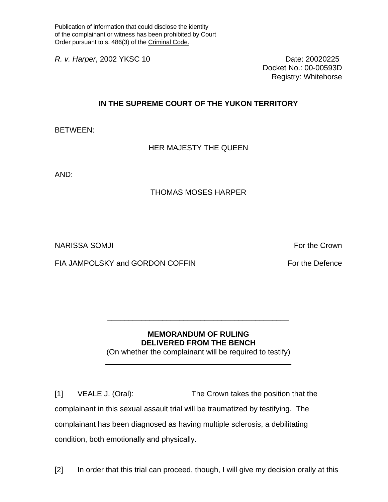Publication of information that could disclose the identity of the complainant or witness has been prohibited by Court Order pursuant to s. 486(3) of the Criminal Code.

*R. v. Harper*, 2002 YKSC 10 Date: 20020225

Docket No.: 00-00593D Registry: Whitehorse

## **IN THE SUPREME COURT OF THE YUKON TERRITORY**

BETWEEN:

HER MAJESTY THE QUEEN

AND:

## THOMAS MOSES HARPER

NARISSA SOMJI For the Crown in the Crown of the Crown in the Crown in the Crown in the Crown in the Crown in the Crown in the Crown in the Crown in the Crown in the Crown in the Crown in the Crown in the Crown in the Crown

FIA JAMPOLSKY and GORDON COFFIN FOR THE PROTOCOLS FOR THE DEFENCE

## **MEMORANDUM OF RULING DELIVERED FROM THE BENCH**

\_\_\_\_\_\_\_\_\_\_\_\_\_\_\_\_\_\_\_\_\_\_\_\_\_\_\_\_\_\_\_\_\_\_\_\_\_\_\_\_\_\_\_

(On whether the complainant will be required to testify) \_\_\_\_\_\_\_\_\_\_\_\_\_\_\_\_\_\_\_\_\_\_\_\_\_\_\_\_\_\_\_\_\_\_\_\_\_\_\_\_\_\_\_\_

[1] VEALE J. (Oral): The Crown takes the position that the complainant in this sexual assault trial will be traumatized by testifying. The complainant has been diagnosed as having multiple sclerosis, a debilitating condition, both emotionally and physically.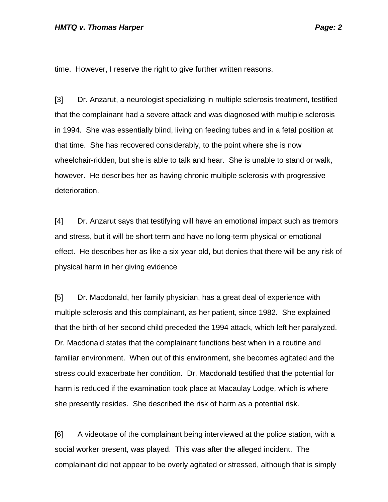time. However, I reserve the right to give further written reasons.

[3] Dr. Anzarut, a neurologist specializing in multiple sclerosis treatment, testified that the complainant had a severe attack and was diagnosed with multiple sclerosis in 1994. She was essentially blind, living on feeding tubes and in a fetal position at that time. She has recovered considerably, to the point where she is now wheelchair-ridden, but she is able to talk and hear. She is unable to stand or walk, however. He describes her as having chronic multiple sclerosis with progressive deterioration.

[4] Dr. Anzarut says that testifying will have an emotional impact such as tremors and stress, but it will be short term and have no long-term physical or emotional effect. He describes her as like a six-year-old, but denies that there will be any risk of physical harm in her giving evidence

[5] Dr. Macdonald, her family physician, has a great deal of experience with multiple sclerosis and this complainant, as her patient, since 1982. She explained that the birth of her second child preceded the 1994 attack, which left her paralyzed. Dr. Macdonald states that the complainant functions best when in a routine and familiar environment. When out of this environment, she becomes agitated and the stress could exacerbate her condition. Dr. Macdonald testified that the potential for harm is reduced if the examination took place at Macaulay Lodge, which is where she presently resides. She described the risk of harm as a potential risk.

[6] A videotape of the complainant being interviewed at the police station, with a social worker present, was played. This was after the alleged incident. The complainant did not appear to be overly agitated or stressed, although that is simply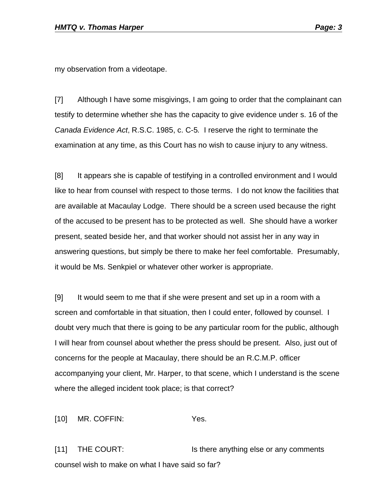my observation from a videotape.

[7] Although I have some misgivings, I am going to order that the complainant can testify to determine whether she has the capacity to give evidence under s. 16 of the *Canada Evidence Act*, R.S.C. 1985, c. C-5*.* I reserve the right to terminate the examination at any time, as this Court has no wish to cause injury to any witness.

[8] It appears she is capable of testifying in a controlled environment and I would like to hear from counsel with respect to those terms. I do not know the facilities that are available at Macaulay Lodge. There should be a screen used because the right of the accused to be present has to be protected as well. She should have a worker present, seated beside her, and that worker should not assist her in any way in answering questions, but simply be there to make her feel comfortable. Presumably, it would be Ms. Senkpiel or whatever other worker is appropriate.

[9] It would seem to me that if she were present and set up in a room with a screen and comfortable in that situation, then I could enter, followed by counsel. I doubt very much that there is going to be any particular room for the public, although I will hear from counsel about whether the press should be present. Also, just out of concerns for the people at Macaulay, there should be an R.C.M.P. officer accompanying your client, Mr. Harper, to that scene, which I understand is the scene where the alleged incident took place; is that correct?

[10] MR. COFFIN: Yes.

[11] THE COURT: Is there anything else or any comments counsel wish to make on what I have said so far?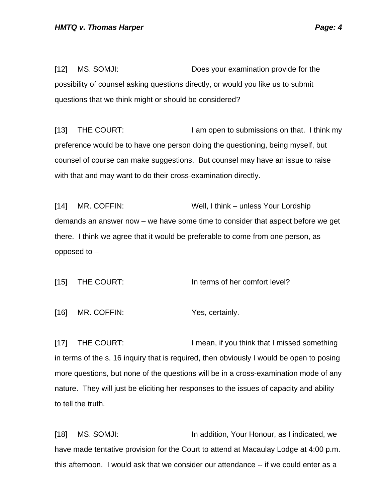[12] MS. SOMJI: Does your examination provide for the possibility of counsel asking questions directly, or would you like us to submit questions that we think might or should be considered?

[13] THE COURT: I am open to submissions on that. I think my preference would be to have one person doing the questioning, being myself, but counsel of course can make suggestions. But counsel may have an issue to raise with that and may want to do their cross-examination directly.

[14] MR. COFFIN: Well, I think – unless Your Lordship demands an answer now – we have some time to consider that aspect before we get there. I think we agree that it would be preferable to come from one person, as opposed to –

[15] THE COURT: In terms of her comfort level?

[16] MR. COFFIN: Yes, certainly.

[17] THE COURT: I mean, if you think that I missed something in terms of the s. 16 inquiry that is required, then obviously I would be open to posing more questions, but none of the questions will be in a cross-examination mode of any nature. They will just be eliciting her responses to the issues of capacity and ability to tell the truth.

[18] MS. SOMJI: In addition, Your Honour, as I indicated, we have made tentative provision for the Court to attend at Macaulay Lodge at 4:00 p.m. this afternoon. I would ask that we consider our attendance -- if we could enter as a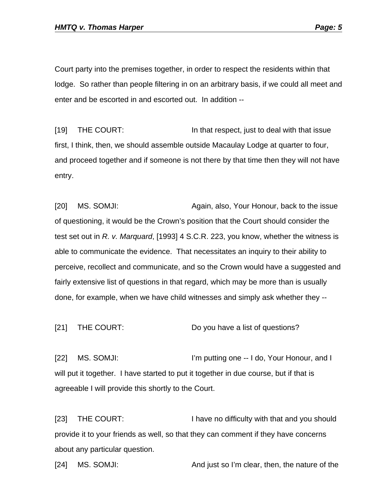Court party into the premises together, in order to respect the residents within that lodge. So rather than people filtering in on an arbitrary basis, if we could all meet and enter and be escorted in and escorted out. In addition --

[19] THE COURT: In that respect, just to deal with that issue first, I think, then, we should assemble outside Macaulay Lodge at quarter to four, and proceed together and if someone is not there by that time then they will not have entry.

[20] MS. SOMJI: Again, also, Your Honour, back to the issue of questioning, it would be the Crown's position that the Court should consider the test set out in *R. v. Marquard*, [1993] 4 S.C.R. 223, you know, whether the witness is able to communicate the evidence. That necessitates an inquiry to their ability to perceive, recollect and communicate, and so the Crown would have a suggested and fairly extensive list of questions in that regard, which may be more than is usually done, for example, when we have child witnesses and simply ask whether they --

[21] THE COURT: Do you have a list of questions?

[22] MS. SOMJI: I'm putting one -- I do, Your Honour, and I will put it together. I have started to put it together in due course, but if that is agreeable I will provide this shortly to the Court.

[23] THE COURT: I have no difficulty with that and you should provide it to your friends as well, so that they can comment if they have concerns about any particular question.

[24] MS. SOMJI: And just so I'm clear, then, the nature of the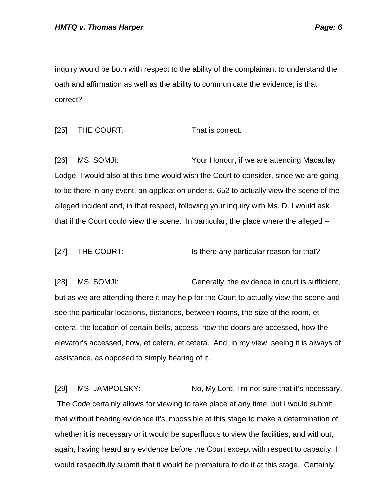inquiry would be both with respect to the ability of the complainant to understand the oath and affirmation as well as the ability to communicate the evidence; is that correct?

[25] THE COURT: That is correct.

[26] MS. SOMJI: Your Honour, if we are attending Macaulay Lodge, I would also at this time would wish the Court to consider, since we are going to be there in any event, an application under s. 652 to actually view the scene of the alleged incident and, in that respect, following your inquiry with Ms. D. I would ask that if the Court could view the scene. In particular, the place where the alleged --

[27] THE COURT: Is there any particular reason for that?

[28] MS. SOMJI: Generally, the evidence in court is sufficient, but as we are attending there it may help for the Court to actually view the scene and see the particular locations, distances, between rooms, the size of the room, et cetera, the location of certain bells, access, how the doors are accessed, how the elevator's accessed, how, et cetera, et cetera. And, in my view, seeing it is always of assistance, as opposed to simply hearing of it.

[29] MS. JAMPOLSKY: No, My Lord, I'm not sure that it's necessary. The *Code* certainly allows for viewing to take place at any time, but I would submit that without hearing evidence it's impossible at this stage to make a determination of whether it is necessary or it would be superfluous to view the facilities, and without, again, having heard any evidence before the Court except with respect to capacity, I would respectfully submit that it would be premature to do it at this stage. Certainly,